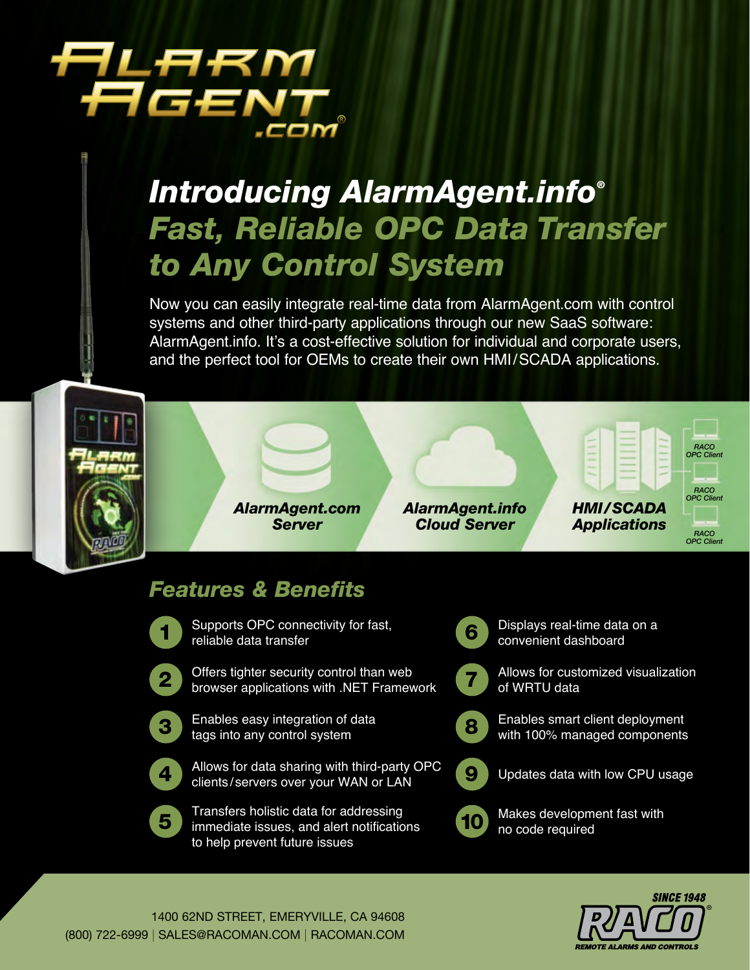# ARM 5Æ A

## *Introducing AlarmAgent.info® Fast, Reliable OPC Data Transfer to Any Control System*

Now you can easily integrate real-time data from AlarmAgent.com with control systems and other third-party applications through our new SaaS software: AlarmAgent.info. It's a cost-effective solution for individual and corporate users, and the perfect tool for OEMs to create their own HMI/SCADA applications.





## *Features & Benefits*

1

Supports OPC connectivity for fast, reliable data transfer

- 2
- Offers tighter security control than web browser applications with .NET Framework
- 3

Enables easy integration of data tags into any control system



Allows for data sharing with third-party OPC clients/ servers over your WAN or LAN



Transfers holistic data for addressing immediate issues, and alert notifications to help prevent future issues

- 6 Displays real-time data on a convenient dashboard
- 7
	- Allows for customized visualization of WRTU data
	- Enables smart client deployment with 100% managed components
	- Updates data with low CPU usage



9

8

Makes development fast with no code required